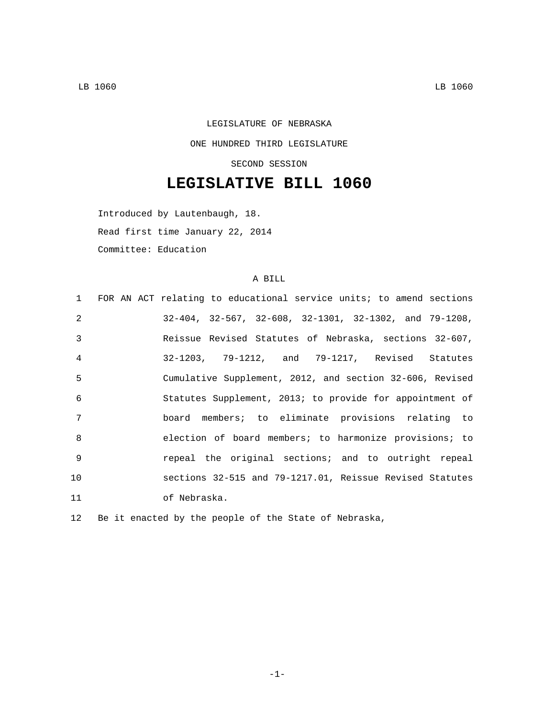## LEGISLATURE OF NEBRASKA ONE HUNDRED THIRD LEGISLATURE SECOND SESSION

## **LEGISLATIVE BILL 1060**

Introduced by Lautenbaugh, 18. Read first time January 22, 2014 Committee: Education

## A BILL

|                | 1 FOR AN ACT relating to educational service units; to amend sections    |
|----------------|--------------------------------------------------------------------------|
| $\mathfrak{D}$ | $32-404$ , $32-567$ , $32-608$ , $32-1301$ , $32-1302$ , and $79-1208$ , |
| $\mathcal{E}$  | Reissue Revised Statutes of Nebraska, sections 32-607,                   |
| $\overline{4}$ | 32-1203, 79-1212, and 79-1217, Revised Statutes                          |
| 5              | Cumulative Supplement, 2012, and section 32-606, Revised                 |
| 6              | Statutes Supplement, 2013; to provide for appointment of                 |
| 7              | board members; to eliminate provisions relating to                       |
| $\mathsf{R}$   | election of board members; to harmonize provisions; to                   |
| 9              | repeal the original sections; and to outright repeal                     |
| 10             | sections 32-515 and 79-1217.01, Reissue Revised Statutes                 |
| 11             | of Nebraska.                                                             |

12 Be it enacted by the people of the State of Nebraska,

-1-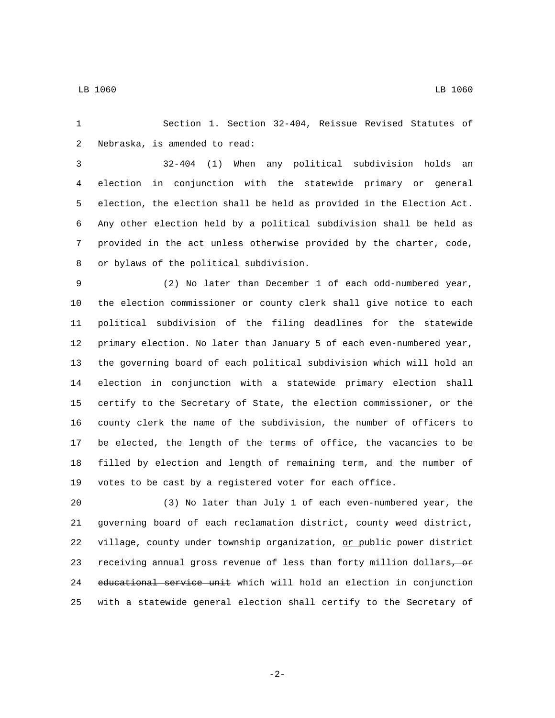Section 1. Section 32-404, Reissue Revised Statutes of 2 Nebraska, is amended to read:

 32-404 (1) When any political subdivision holds an election in conjunction with the statewide primary or general election, the election shall be held as provided in the Election Act. Any other election held by a political subdivision shall be held as provided in the act unless otherwise provided by the charter, code, 8 or bylaws of the political subdivision.

 (2) No later than December 1 of each odd-numbered year, the election commissioner or county clerk shall give notice to each political subdivision of the filing deadlines for the statewide primary election. No later than January 5 of each even-numbered year, the governing board of each political subdivision which will hold an election in conjunction with a statewide primary election shall certify to the Secretary of State, the election commissioner, or the county clerk the name of the subdivision, the number of officers to be elected, the length of the terms of office, the vacancies to be filled by election and length of remaining term, and the number of votes to be cast by a registered voter for each office.

 (3) No later than July 1 of each even-numbered year, the governing board of each reclamation district, county weed district, village, county under township organization, or public power district 23 receiving annual gross revenue of less than forty million dollars, or educational service unit which will hold an election in conjunction with a statewide general election shall certify to the Secretary of

-2-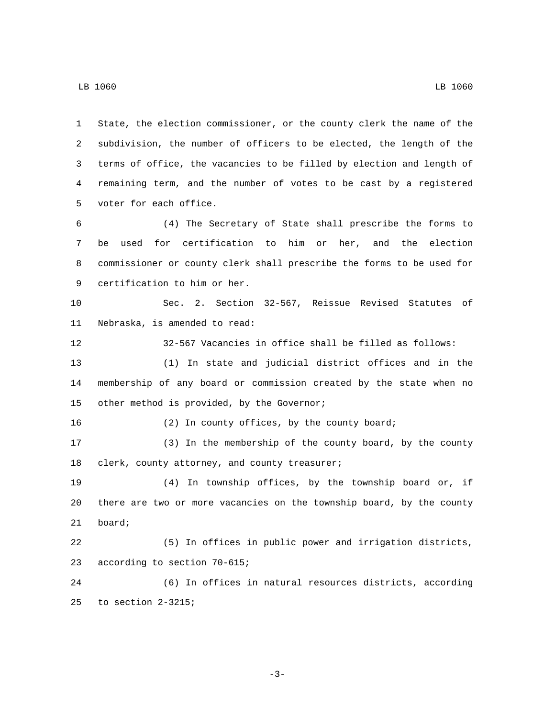State, the election commissioner, or the county clerk the name of the subdivision, the number of officers to be elected, the length of the terms of office, the vacancies to be filled by election and length of remaining term, and the number of votes to be cast by a registered 5 voter for each office. (4) The Secretary of State shall prescribe the forms to be used for certification to him or her, and the election commissioner or county clerk shall prescribe the forms to be used for 9 certification to him or her. Sec. 2. Section 32-567, Reissue Revised Statutes of 11 Nebraska, is amended to read: 32-567 Vacancies in office shall be filled as follows: (1) In state and judicial district offices and in the membership of any board or commission created by the state when no 15 other method is provided, by the Governor; (2) In county offices, by the county board; (3) In the membership of the county board, by the county 18 clerk, county attorney, and county treasurer; (4) In township offices, by the township board or, if there are two or more vacancies on the township board, by the county 21 board; (5) In offices in public power and irrigation districts, 23 according to section 70-615; (6) In offices in natural resources districts, according 25 to section  $2-3215$ ;

LB 1060 LB 1060

-3-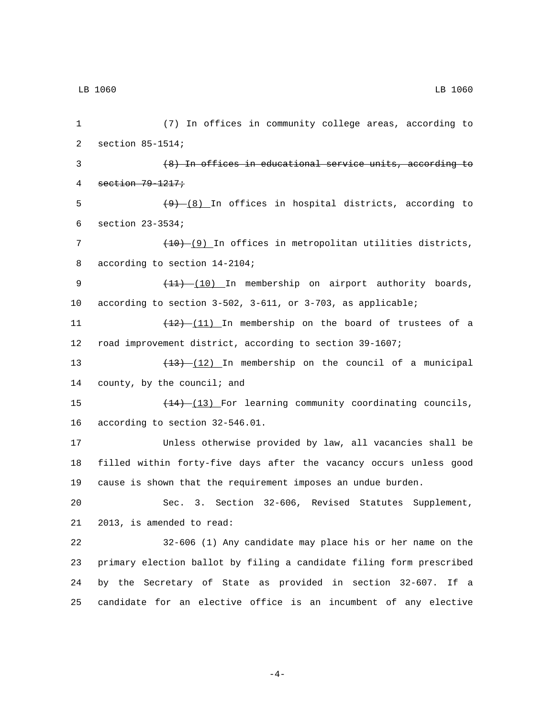1 (7) In offices in community college areas, according to 2 section 85-1514; 3 (8) In offices in educational service units, according to 4 section 79-1217; 5  $(9)$   $(8)$  In offices in hospital districts, according to  $6$  section  $23-3534$ ; 7 (10) (9) In offices in metropolitan utilities districts, 8 according to section 14-2104; 9 (11) (10) In membership on airport authority boards, 10 according to section 3-502, 3-611, or 3-703, as applicable; 11  $\left(\frac{12}{11}\right)$  In membership on the board of trustees of a 12 road improvement district, according to section 39-1607; 13 (13) (12) In membership on the council of a municipal 14 county, by the council; and 15 (14) (13) For learning community coordinating councils, 16 according to section 32-546.01. 17 Unless otherwise provided by law, all vacancies shall be 18 filled within forty-five days after the vacancy occurs unless good 19 cause is shown that the requirement imposes an undue burden. 20 Sec. 3. Section 32-606, Revised Statutes Supplement, 21 2013, is amended to read: 22 32-606 (1) Any candidate may place his or her name on the 23 primary election ballot by filing a candidate filing form prescribed 24 by the Secretary of State as provided in section 32-607. If a 25 candidate for an elective office is an incumbent of any elective

-4-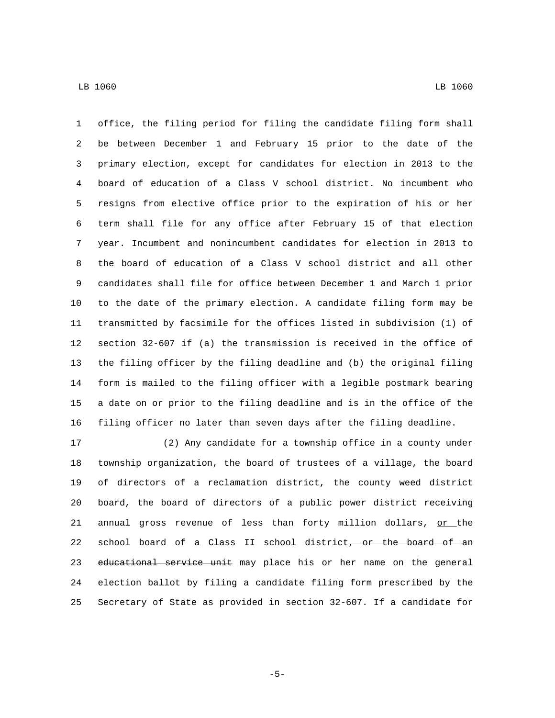office, the filing period for filing the candidate filing form shall be between December 1 and February 15 prior to the date of the primary election, except for candidates for election in 2013 to the board of education of a Class V school district. No incumbent who resigns from elective office prior to the expiration of his or her term shall file for any office after February 15 of that election year. Incumbent and nonincumbent candidates for election in 2013 to the board of education of a Class V school district and all other candidates shall file for office between December 1 and March 1 prior to the date of the primary election. A candidate filing form may be transmitted by facsimile for the offices listed in subdivision (1) of section 32-607 if (a) the transmission is received in the office of the filing officer by the filing deadline and (b) the original filing form is mailed to the filing officer with a legible postmark bearing a date on or prior to the filing deadline and is in the office of the filing officer no later than seven days after the filing deadline.

 (2) Any candidate for a township office in a county under township organization, the board of trustees of a village, the board of directors of a reclamation district, the county weed district board, the board of directors of a public power district receiving 21 annual gross revenue of less than forty million dollars,  $or$  the 22 school board of a Class II school district<del>, or the board of an</del> 23 educational service unit may place his or her name on the general election ballot by filing a candidate filing form prescribed by the Secretary of State as provided in section 32-607. If a candidate for

-5-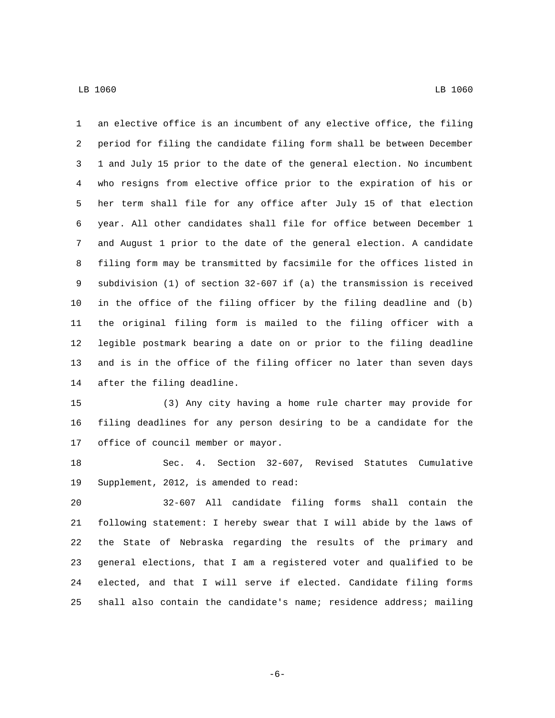an elective office is an incumbent of any elective office, the filing period for filing the candidate filing form shall be between December 1 and July 15 prior to the date of the general election. No incumbent who resigns from elective office prior to the expiration of his or her term shall file for any office after July 15 of that election year. All other candidates shall file for office between December 1 and August 1 prior to the date of the general election. A candidate filing form may be transmitted by facsimile for the offices listed in subdivision (1) of section 32-607 if (a) the transmission is received in the office of the filing officer by the filing deadline and (b) the original filing form is mailed to the filing officer with a legible postmark bearing a date on or prior to the filing deadline and is in the office of the filing officer no later than seven days 14 after the filing deadline.

 (3) Any city having a home rule charter may provide for filing deadlines for any person desiring to be a candidate for the 17 office of council member or mayor.

 Sec. 4. Section 32-607, Revised Statutes Cumulative 19 Supplement, 2012, is amended to read:

 32-607 All candidate filing forms shall contain the following statement: I hereby swear that I will abide by the laws of the State of Nebraska regarding the results of the primary and general elections, that I am a registered voter and qualified to be elected, and that I will serve if elected. Candidate filing forms shall also contain the candidate's name; residence address; mailing

-6-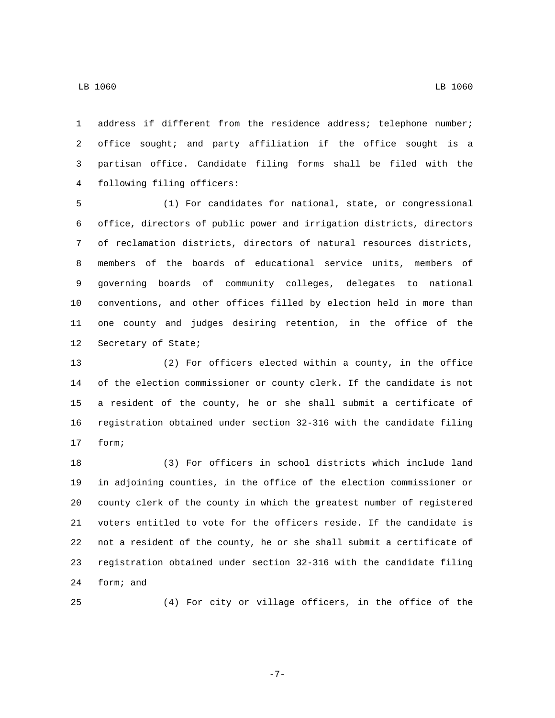address if different from the residence address; telephone number; office sought; and party affiliation if the office sought is a partisan office. Candidate filing forms shall be filed with the 4 following filing officers:

 (1) For candidates for national, state, or congressional office, directors of public power and irrigation districts, directors of reclamation districts, directors of natural resources districts, members of the boards of educational service units, members of governing boards of community colleges, delegates to national conventions, and other offices filled by election held in more than one county and judges desiring retention, in the office of the 12 Secretary of State;

 (2) For officers elected within a county, in the office of the election commissioner or county clerk. If the candidate is not a resident of the county, he or she shall submit a certificate of registration obtained under section 32-316 with the candidate filing 17 form;

 (3) For officers in school districts which include land in adjoining counties, in the office of the election commissioner or county clerk of the county in which the greatest number of registered voters entitled to vote for the officers reside. If the candidate is not a resident of the county, he or she shall submit a certificate of registration obtained under section 32-316 with the candidate filing 24 form; and

(4) For city or village officers, in the office of the

-7-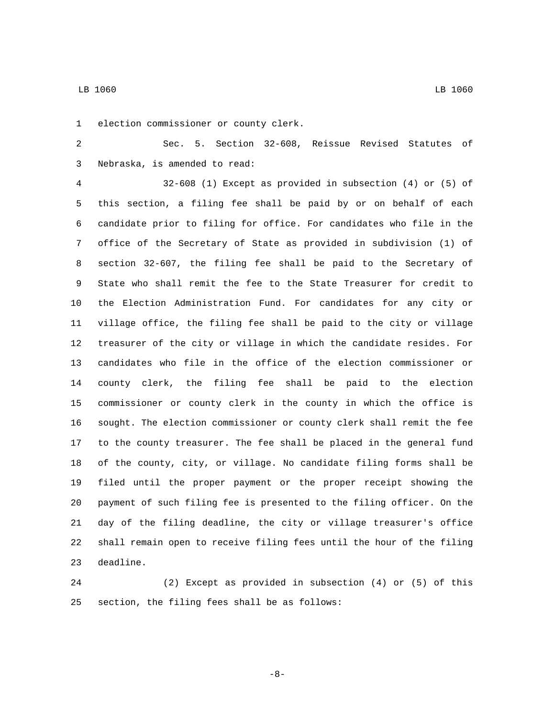1 election commissioner or county clerk.

 Sec. 5. Section 32-608, Reissue Revised Statutes of Nebraska, is amended to read:3

 32-608 (1) Except as provided in subsection (4) or (5) of this section, a filing fee shall be paid by or on behalf of each candidate prior to filing for office. For candidates who file in the office of the Secretary of State as provided in subdivision (1) of section 32-607, the filing fee shall be paid to the Secretary of State who shall remit the fee to the State Treasurer for credit to the Election Administration Fund. For candidates for any city or village office, the filing fee shall be paid to the city or village treasurer of the city or village in which the candidate resides. For candidates who file in the office of the election commissioner or county clerk, the filing fee shall be paid to the election commissioner or county clerk in the county in which the office is sought. The election commissioner or county clerk shall remit the fee to the county treasurer. The fee shall be placed in the general fund of the county, city, or village. No candidate filing forms shall be filed until the proper payment or the proper receipt showing the payment of such filing fee is presented to the filing officer. On the day of the filing deadline, the city or village treasurer's office shall remain open to receive filing fees until the hour of the filing 23 deadline.

 (2) Except as provided in subsection (4) or (5) of this 25 section, the filing fees shall be as follows:

-8-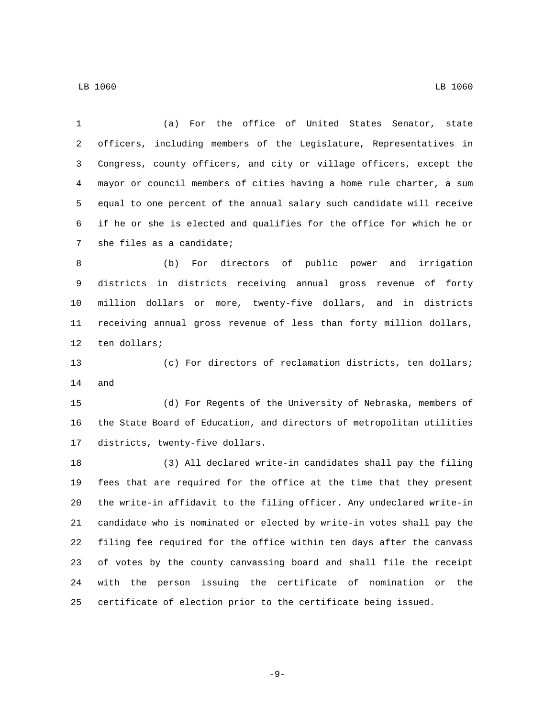(a) For the office of United States Senator, state officers, including members of the Legislature, Representatives in Congress, county officers, and city or village officers, except the mayor or council members of cities having a home rule charter, a sum equal to one percent of the annual salary such candidate will receive if he or she is elected and qualifies for the office for which he or 7 she files as a candidate; (b) For directors of public power and irrigation districts in districts receiving annual gross revenue of forty million dollars or more, twenty-five dollars, and in districts receiving annual gross revenue of less than forty million dollars, 12 ten dollars; (c) For directors of reclamation districts, ten dollars; 14 and (d) For Regents of the University of Nebraska, members of the State Board of Education, and directors of metropolitan utilities 17 districts, twenty-five dollars. (3) All declared write-in candidates shall pay the filing fees that are required for the office at the time that they present the write-in affidavit to the filing officer. Any undeclared write-in candidate who is nominated or elected by write-in votes shall pay the filing fee required for the office within ten days after the canvass of votes by the county canvassing board and shall file the receipt with the person issuing the certificate of nomination or the certificate of election prior to the certificate being issued.

-9-

LB 1060 LB 1060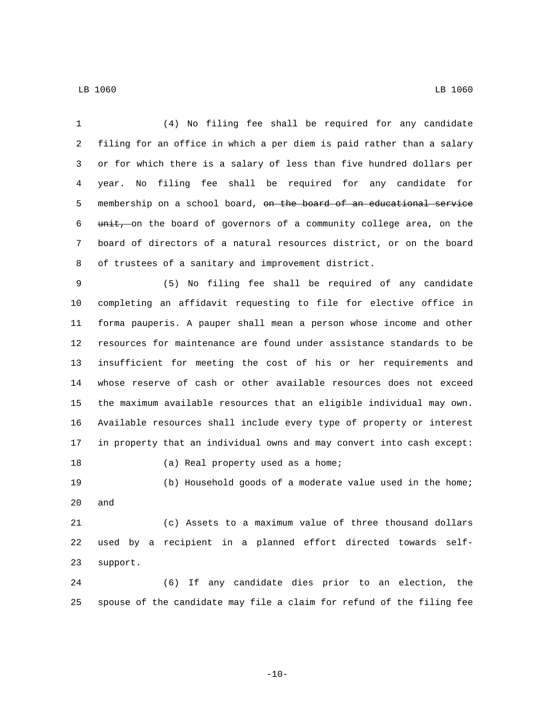(4) No filing fee shall be required for any candidate filing for an office in which a per diem is paid rather than a salary or for which there is a salary of less than five hundred dollars per year. No filing fee shall be required for any candidate for membership on a school board, on the board of an educational service 6 unit, on the board of governors of a community college area, on the board of directors of a natural resources district, or on the board of trustees of a sanitary and improvement district. (5) No filing fee shall be required of any candidate completing an affidavit requesting to file for elective office in forma pauperis. A pauper shall mean a person whose income and other resources for maintenance are found under assistance standards to be insufficient for meeting the cost of his or her requirements and whose reserve of cash or other available resources does not exceed the maximum available resources that an eligible individual may own. Available resources shall include every type of property or interest in property that an individual owns and may convert into cash except: 18 (a) Real property used as a home; (b) Household goods of a moderate value used in the home; and (c) Assets to a maximum value of three thousand dollars used by a recipient in a planned effort directed towards self-23 support.

 (6) If any candidate dies prior to an election, the spouse of the candidate may file a claim for refund of the filing fee

 $-10-$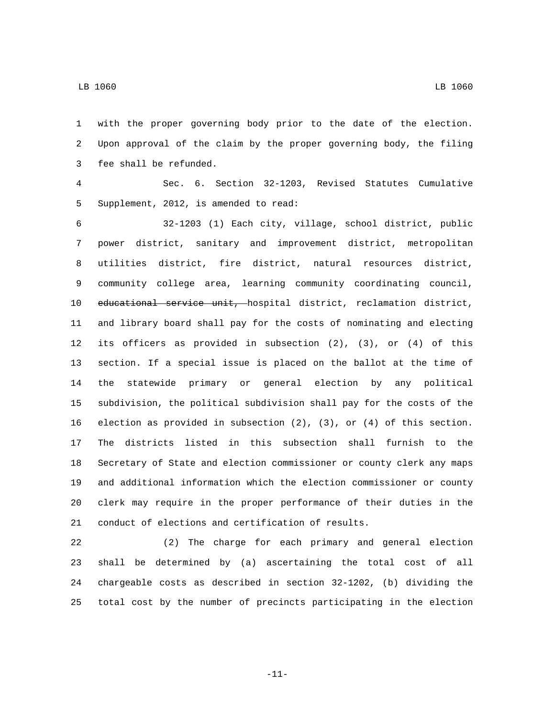with the proper governing body prior to the date of the election. Upon approval of the claim by the proper governing body, the filing 3 fee shall be refunded.

 Sec. 6. Section 32-1203, Revised Statutes Cumulative 5 Supplement, 2012, is amended to read:

 32-1203 (1) Each city, village, school district, public power district, sanitary and improvement district, metropolitan utilities district, fire district, natural resources district, community college area, learning community coordinating council, 10 educational service unit, hospital district, reclamation district, and library board shall pay for the costs of nominating and electing its officers as provided in subsection (2), (3), or (4) of this section. If a special issue is placed on the ballot at the time of the statewide primary or general election by any political subdivision, the political subdivision shall pay for the costs of the election as provided in subsection (2), (3), or (4) of this section. The districts listed in this subsection shall furnish to the Secretary of State and election commissioner or county clerk any maps and additional information which the election commissioner or county clerk may require in the proper performance of their duties in the conduct of elections and certification of results.

 (2) The charge for each primary and general election shall be determined by (a) ascertaining the total cost of all chargeable costs as described in section 32-1202, (b) dividing the total cost by the number of precincts participating in the election

-11-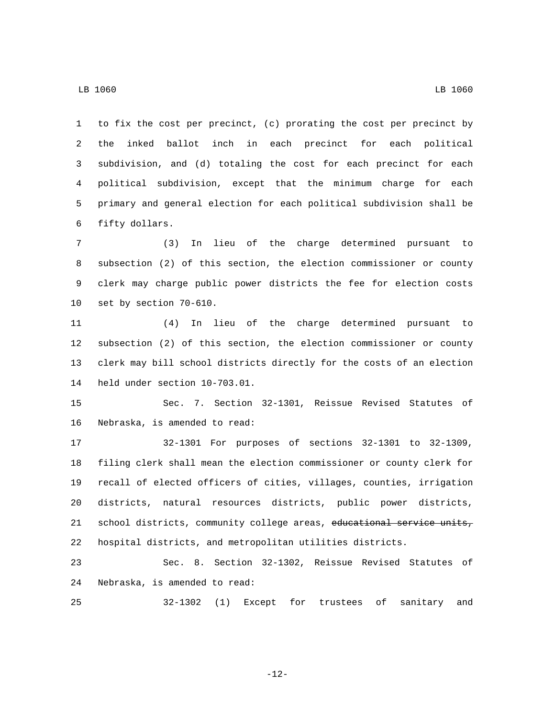to fix the cost per precinct, (c) prorating the cost per precinct by the inked ballot inch in each precinct for each political subdivision, and (d) totaling the cost for each precinct for each political subdivision, except that the minimum charge for each primary and general election for each political subdivision shall be 6 fifty dollars.

 (3) In lieu of the charge determined pursuant to subsection (2) of this section, the election commissioner or county clerk may charge public power districts the fee for election costs 10 set by section 70-610.

 (4) In lieu of the charge determined pursuant to subsection (2) of this section, the election commissioner or county clerk may bill school districts directly for the costs of an election 14 held under section 10-703.01.

 Sec. 7. Section 32-1301, Reissue Revised Statutes of 16 Nebraska, is amended to read:

 32-1301 For purposes of sections 32-1301 to 32-1309, filing clerk shall mean the election commissioner or county clerk for recall of elected officers of cities, villages, counties, irrigation districts, natural resources districts, public power districts, 21 school districts, community college areas, educational service units, hospital districts, and metropolitan utilities districts.

 Sec. 8. Section 32-1302, Reissue Revised Statutes of 24 Nebraska, is amended to read:

32-1302 (1) Except for trustees of sanitary and

-12-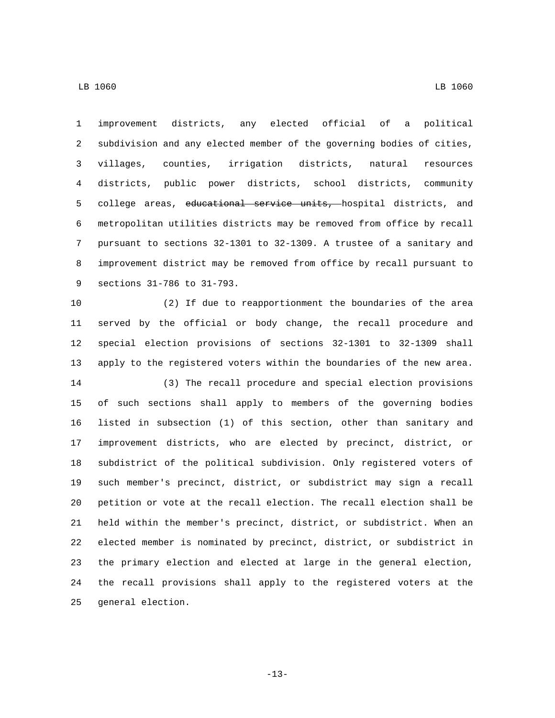improvement districts, any elected official of a political subdivision and any elected member of the governing bodies of cities, villages, counties, irrigation districts, natural resources districts, public power districts, school districts, community 5 college areas, educational service units, hospital districts, and metropolitan utilities districts may be removed from office by recall pursuant to sections 32-1301 to 32-1309. A trustee of a sanitary and improvement district may be removed from office by recall pursuant to 9 sections 31-786 to 31-793.

 (2) If due to reapportionment the boundaries of the area served by the official or body change, the recall procedure and special election provisions of sections 32-1301 to 32-1309 shall apply to the registered voters within the boundaries of the new area.

 (3) The recall procedure and special election provisions of such sections shall apply to members of the governing bodies listed in subsection (1) of this section, other than sanitary and improvement districts, who are elected by precinct, district, or subdistrict of the political subdivision. Only registered voters of such member's precinct, district, or subdistrict may sign a recall petition or vote at the recall election. The recall election shall be held within the member's precinct, district, or subdistrict. When an elected member is nominated by precinct, district, or subdistrict in the primary election and elected at large in the general election, the recall provisions shall apply to the registered voters at the 25 general election.

-13-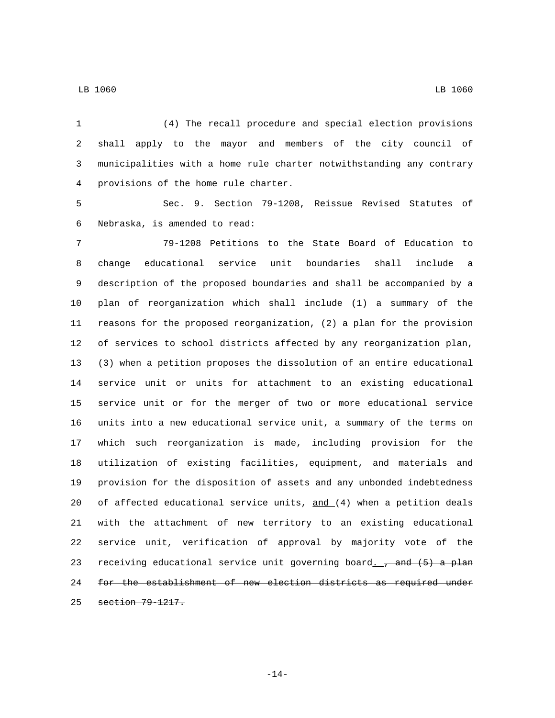(4) The recall procedure and special election provisions shall apply to the mayor and members of the city council of municipalities with a home rule charter notwithstanding any contrary 4 provisions of the home rule charter.

 Sec. 9. Section 79-1208, Reissue Revised Statutes of 6 Nebraska, is amended to read:

 79-1208 Petitions to the State Board of Education to change educational service unit boundaries shall include a description of the proposed boundaries and shall be accompanied by a plan of reorganization which shall include (1) a summary of the reasons for the proposed reorganization, (2) a plan for the provision of services to school districts affected by any reorganization plan, (3) when a petition proposes the dissolution of an entire educational service unit or units for attachment to an existing educational service unit or for the merger of two or more educational service units into a new educational service unit, a summary of the terms on which such reorganization is made, including provision for the utilization of existing facilities, equipment, and materials and provision for the disposition of assets and any unbonded indebtedness 20 of affected educational service units,  $and (4)$  when a petition deals with the attachment of new territory to an existing educational service unit, verification of approval by majority vote of the 23 receiving educational service unit governing board $f(x)$  and  $(5)$  a plan for the establishment of new election districts as required under 25 section 79-1217.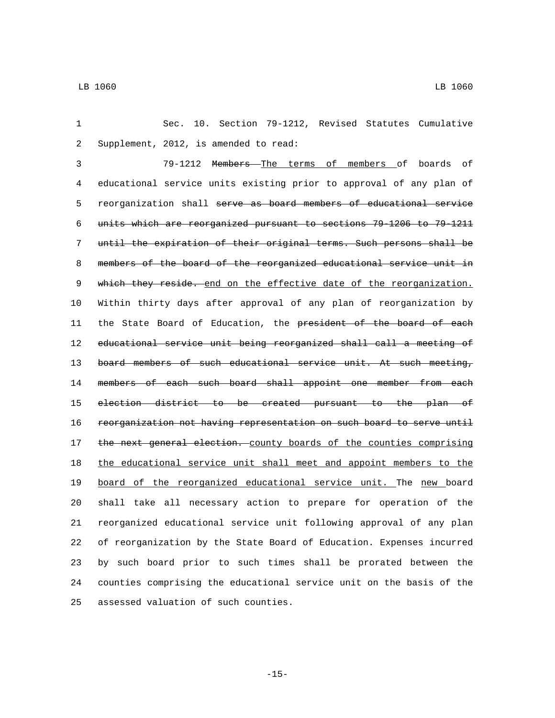Sec. 10. Section 79-1212, Revised Statutes Cumulative 2 Supplement, 2012, is amended to read: 79-1212 Members The terms of members of boards of educational service units existing prior to approval of any plan of reorganization shall serve as board members of educational service units which are reorganized pursuant to sections 79-1206 to 79-1211 until the expiration of their original terms. Such persons shall be members of the board of the reorganized educational service unit in 9 which they reside. end on the effective date of the reorganization. Within thirty days after approval of any plan of reorganization by 11 the State Board of Education, the president of the board of each 12 educational service unit being reorganized shall call a meeting of 13 board members of such educational service unit. At such meeting, 14 members of each such board shall appoint one member from each election district to be created pursuant to the plan of reorganization not having representation on such board to serve until 17 the next general election. county boards of the counties comprising the educational service unit shall meet and appoint members to the board of the reorganized educational service unit. The new board shall take all necessary action to prepare for operation of the reorganized educational service unit following approval of any plan of reorganization by the State Board of Education. Expenses incurred by such board prior to such times shall be prorated between the counties comprising the educational service unit on the basis of the 25 assessed valuation of such counties.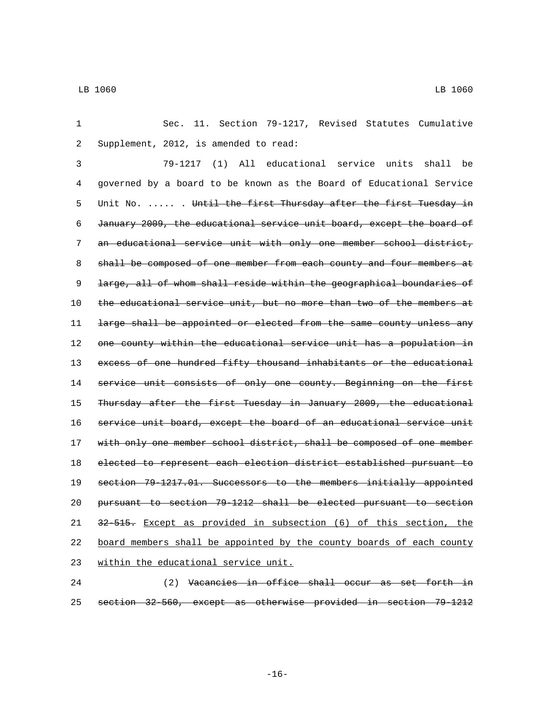1 Sec. 11. Section 79-1217, Revised Statutes Cumulative Supplement, 2012, is amended to read:2 3 79-1217 (1) All educational service units shall be 4 governed by a board to be known as the Board of Educational Service 5 Unit No. ..... . Until the first Thursday after the first Tuesday in 6 January 2009, the educational service unit board, except the board of 7 an educational service unit with only one member school district, 8 shall be composed of one member from each county and four members at 9 large, all of whom shall reside within the geographical boundaries of 10 the educational service unit, but no more than two of the members at 11 <del>large shall be appointed or elected from the same county unless any</del> 12 one county within the educational service unit has a population in 13 excess of one hundred fifty thousand inhabitants or the educational 14 service unit consists of only one county. Beginning on the first 15 Thursday after the first Tuesday in January 2009, the educational 16 service unit board, except the board of an educational service unit 17 with only one member school district, shall be composed of one member 18 elected to represent each election district established pursuant to 19 section 79-1217.01. Successors to the members initially appointed 20 pursuant to section 79-1212 shall be elected pursuant to section 21 32-515. Except as provided in subsection (6) of this section, the 22 board members shall be appointed by the county boards of each county 23 within the educational service unit. 24 (2) Vacancies in office shall occur as set forth in

25 section 32-560, except as otherwise provided in section 79-1212

-16-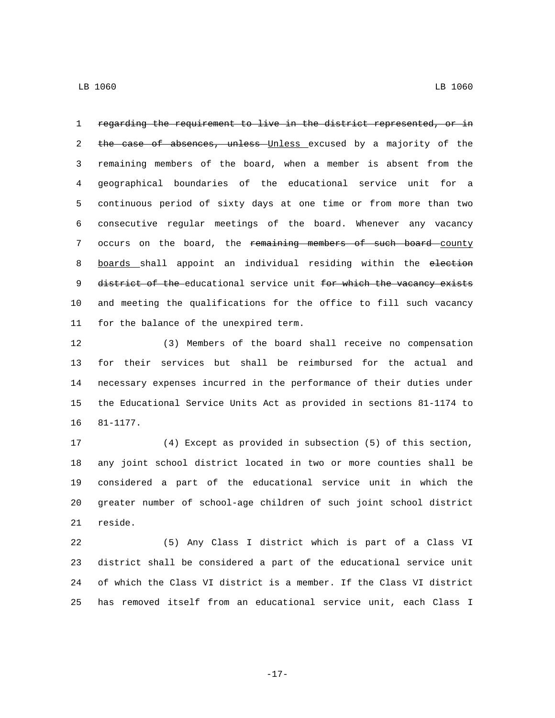regarding the requirement to live in the district represented, or in 2 the case of absences, unless Unless excused by a majority of the remaining members of the board, when a member is absent from the geographical boundaries of the educational service unit for a continuous period of sixty days at one time or from more than two consecutive regular meetings of the board. Whenever any vacancy 7 occurs on the board, the remaining members of such board county 8 boards shall appoint an individual residing within the election 9 district of the educational service unit for which the vacancy exists and meeting the qualifications for the office to fill such vacancy 11 for the balance of the unexpired term.

 (3) Members of the board shall receive no compensation for their services but shall be reimbursed for the actual and necessary expenses incurred in the performance of their duties under the Educational Service Units Act as provided in sections 81-1174 to 16 81-1177.

 (4) Except as provided in subsection (5) of this section, any joint school district located in two or more counties shall be considered a part of the educational service unit in which the greater number of school-age children of such joint school district 21 reside.

 (5) Any Class I district which is part of a Class VI district shall be considered a part of the educational service unit of which the Class VI district is a member. If the Class VI district has removed itself from an educational service unit, each Class I

-17-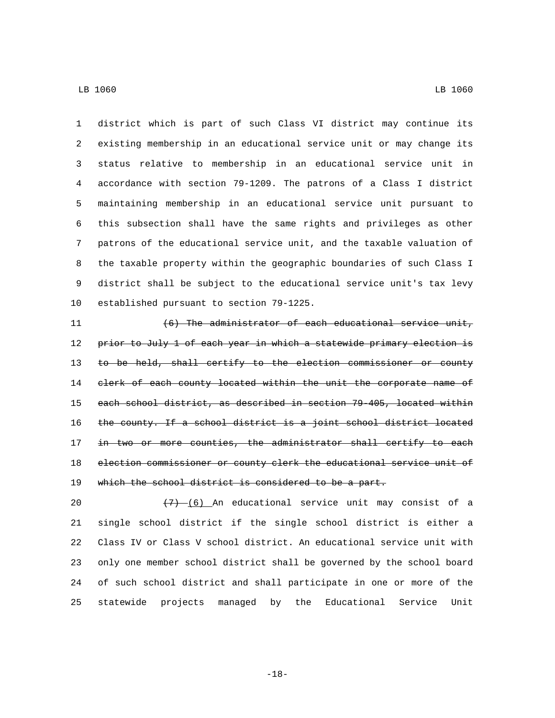district which is part of such Class VI district may continue its existing membership in an educational service unit or may change its status relative to membership in an educational service unit in accordance with section 79-1209. The patrons of a Class I district maintaining membership in an educational service unit pursuant to this subsection shall have the same rights and privileges as other patrons of the educational service unit, and the taxable valuation of the taxable property within the geographic boundaries of such Class I district shall be subject to the educational service unit's tax levy 10 established pursuant to section 79-1225.

11  $(6)$  The administrator of each educational service unit, 12 prior to July 1 of each year in which a statewide primary election is 13 to be held, shall certify to the election commissioner or county 14 clerk of each county located within the unit the corporate name of each school district, as described in section 79-405, located within 16 the county. If a school district is a joint school district located 17 in two or more counties, the administrator shall certify to each election commissioner or county clerk the educational service unit of 19 which the school district is considered to be a part.

 $\left(7\right)$   $\left(6\right)$  An educational service unit may consist of a single school district if the single school district is either a Class IV or Class V school district. An educational service unit with only one member school district shall be governed by the school board of such school district and shall participate in one or more of the statewide projects managed by the Educational Service Unit